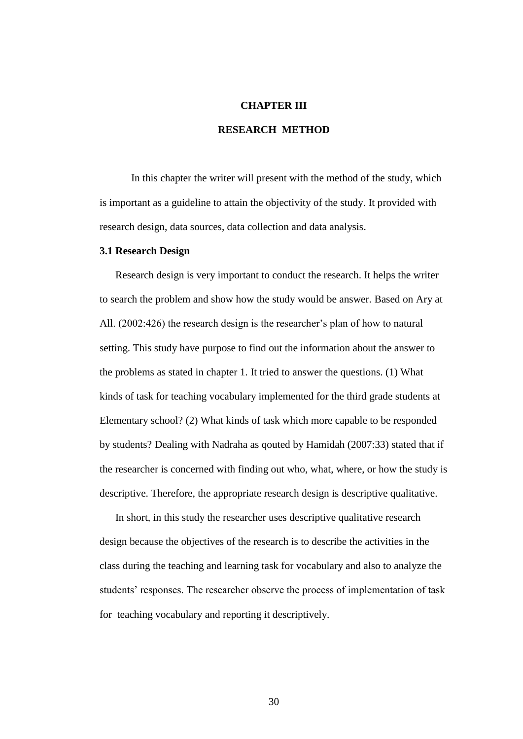### **CHAPTER III**

# **RESEARCH METHOD**

In this chapter the writer will present with the method of the study, which is important as a guideline to attain the objectivity of the study. It provided with research design, data sources, data collection and data analysis.

## **3.1 Research Design**

Research design is very important to conduct the research. It helps the writer to search the problem and show how the study would be answer. Based on Ary at All. (2002:426) the research design is the researcher's plan of how to natural setting. This study have purpose to find out the information about the answer to the problems as stated in chapter 1. It tried to answer the questions. (1) What kinds of task for teaching vocabulary implemented for the third grade students at Elementary school? (2) What kinds of task which more capable to be responded by students? Dealing with Nadraha as qouted by Hamidah (2007:33) stated that if the researcher is concerned with finding out who, what, where, or how the study is descriptive. Therefore, the appropriate research design is descriptive qualitative.

In short, in this study the researcher uses descriptive qualitative research design because the objectives of the research is to describe the activities in the class during the teaching and learning task for vocabulary and also to analyze the students' responses. The researcher observe the process of implementation of task for teaching vocabulary and reporting it descriptively.

30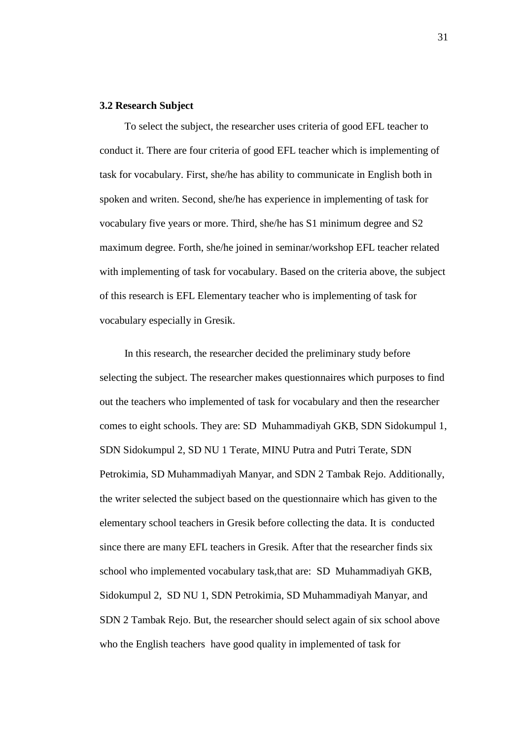### **3.2 Research Subject**

To select the subject, the researcher uses criteria of good EFL teacher to conduct it. There are four criteria of good EFL teacher which is implementing of task for vocabulary. First, she/he has ability to communicate in English both in spoken and writen. Second, she/he has experience in implementing of task for vocabulary five years or more. Third, she/he has S1 minimum degree and S2 maximum degree. Forth, she/he joined in seminar/workshop EFL teacher related with implementing of task for vocabulary. Based on the criteria above, the subject of this research is EFL Elementary teacher who is implementing of task for vocabulary especially in Gresik.

In this research, the researcher decided the preliminary study before selecting the subject. The researcher makes questionnaires which purposes to find out the teachers who implemented of task for vocabulary and then the researcher comes to eight schools. They are: SD Muhammadiyah GKB, SDN Sidokumpul 1, SDN Sidokumpul 2, SD NU 1 Terate, MINU Putra and Putri Terate, SDN Petrokimia, SD Muhammadiyah Manyar, and SDN 2 Tambak Rejo. Additionally, the writer selected the subject based on the questionnaire which has given to the elementary school teachers in Gresik before collecting the data. It is conducted since there are many EFL teachers in Gresik. After that the researcher finds six school who implemented vocabulary task,that are: SD Muhammadiyah GKB, Sidokumpul 2, SD NU 1, SDN Petrokimia, SD Muhammadiyah Manyar, and SDN 2 Tambak Rejo. But, the researcher should select again of six school above who the English teachers have good quality in implemented of task for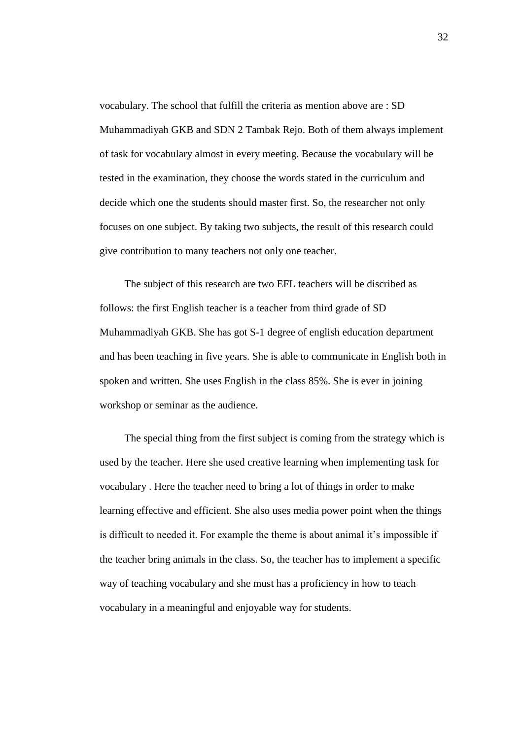vocabulary. The school that fulfill the criteria as mention above are : SD Muhammadiyah GKB and SDN 2 Tambak Rejo. Both of them always implement of task for vocabulary almost in every meeting. Because the vocabulary will be tested in the examination, they choose the words stated in the curriculum and decide which one the students should master first. So, the researcher not only focuses on one subject. By taking two subjects, the result of this research could give contribution to many teachers not only one teacher.

The subject of this research are two EFL teachers will be discribed as follows: the first English teacher is a teacher from third grade of SD Muhammadiyah GKB. She has got S-1 degree of english education department and has been teaching in five years. She is able to communicate in English both in spoken and written. She uses English in the class 85%. She is ever in joining workshop or seminar as the audience.

The special thing from the first subject is coming from the strategy which is used by the teacher. Here she used creative learning when implementing task for vocabulary . Here the teacher need to bring a lot of things in order to make learning effective and efficient. She also uses media power point when the things is difficult to needed it. For example the theme is about animal it's impossible if the teacher bring animals in the class. So, the teacher has to implement a specific way of teaching vocabulary and she must has a proficiency in how to teach vocabulary in a meaningful and enjoyable way for students.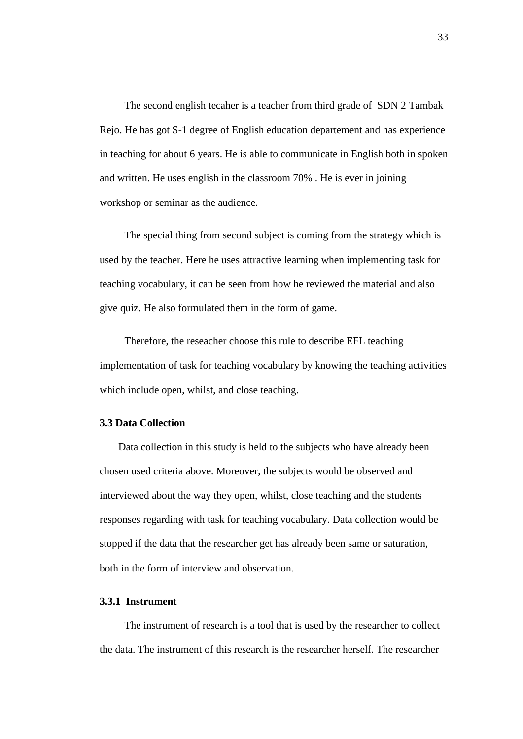The second english tecaher is a teacher from third grade of SDN 2 Tambak Rejo. He has got S-1 degree of English education departement and has experience in teaching for about 6 years. He is able to communicate in English both in spoken and written. He uses english in the classroom 70% . He is ever in joining workshop or seminar as the audience.

The special thing from second subject is coming from the strategy which is used by the teacher. Here he uses attractive learning when implementing task for teaching vocabulary, it can be seen from how he reviewed the material and also give quiz. He also formulated them in the form of game.

Therefore, the reseacher choose this rule to describe EFL teaching implementation of task for teaching vocabulary by knowing the teaching activities which include open, whilst, and close teaching.

## **3.3 Data Collection**

Data collection in this study is held to the subjects who have already been chosen used criteria above. Moreover, the subjects would be observed and interviewed about the way they open, whilst, close teaching and the students responses regarding with task for teaching vocabulary. Data collection would be stopped if the data that the researcher get has already been same or saturation, both in the form of interview and observation.

### **3.3.1 Instrument**

The instrument of research is a tool that is used by the researcher to collect the data. The instrument of this research is the researcher herself. The researcher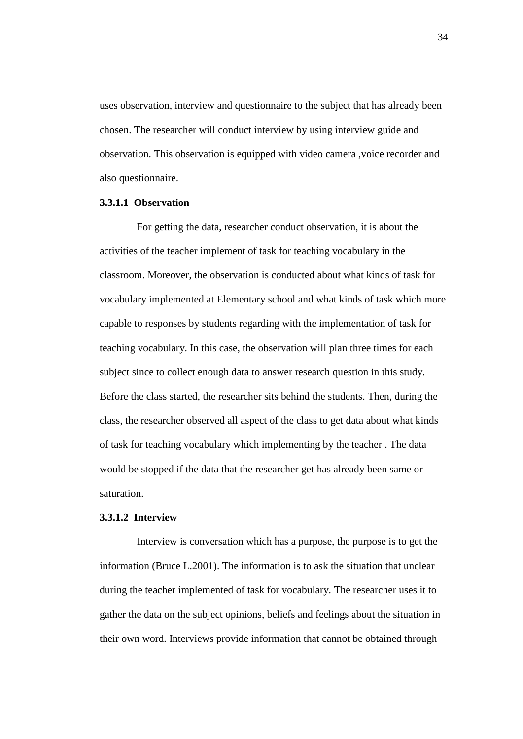uses observation, interview and questionnaire to the subject that has already been chosen. The researcher will conduct interview by using interview guide and observation. This observation is equipped with video camera ,voice recorder and also questionnaire.

#### **3.3.1.1 Observation**

For getting the data, researcher conduct observation, it is about the activities of the teacher implement of task for teaching vocabulary in the classroom. Moreover, the observation is conducted about what kinds of task for vocabulary implemented at Elementary school and what kinds of task which more capable to responses by students regarding with the implementation of task for teaching vocabulary. In this case, the observation will plan three times for each subject since to collect enough data to answer research question in this study. Before the class started, the researcher sits behind the students. Then, during the class, the researcher observed all aspect of the class to get data about what kinds of task for teaching vocabulary which implementing by the teacher . The data would be stopped if the data that the researcher get has already been same or saturation.

#### **3.3.1.2 Interview**

Interview is conversation which has a purpose, the purpose is to get the information (Bruce L.2001). The information is to ask the situation that unclear during the teacher implemented of task for vocabulary. The researcher uses it to gather the data on the subject opinions, beliefs and feelings about the situation in their own word. Interviews provide information that cannot be obtained through

34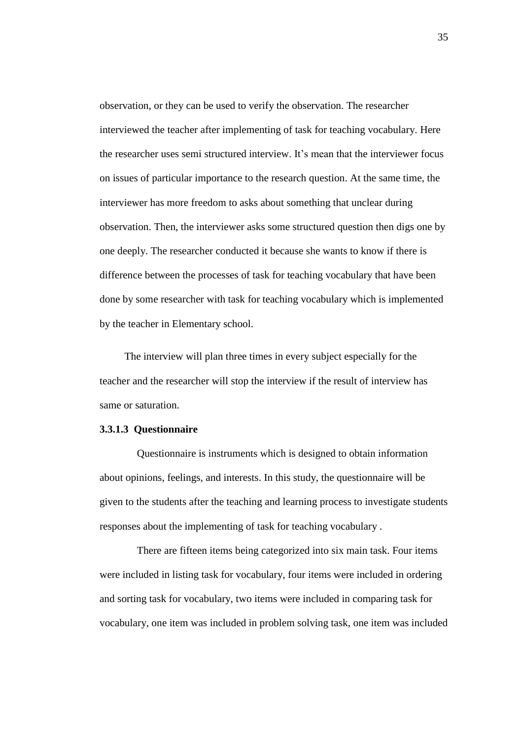observation, or they can be used to verify the observation. The researcher interviewed the teacher after implementing of task for teaching vocabulary. Here the researcher uses semi structured interview. It's mean that the interviewer focus on issues of particular importance to the research question. At the same time, the interviewer has more freedom to asks about something that unclear during observation. Then, the interviewer asks some structured question then digs one by one deeply. The researcher conducted it because she wants to know if there is difference between the processes of task for teaching vocabulary that have been done by some researcher with task for teaching vocabulary which is implemented by the teacher in Elementary school.

The interview will plan three times in every subject especially for the teacher and the researcher will stop the interview if the result of interview has same or saturation.

### **3.3.1.3 Questionnaire**

Questionnaire is instruments which is designed to obtain information about opinions, feelings, and interests. In this study, the questionnaire will be given to the students after the teaching and learning process to investigate students responses about the implementing of task for teaching vocabulary .

There are fifteen items being categorized into six main task. Four items were included in listing task for vocabulary, four items were included in ordering and sorting task for vocabulary, two items were included in comparing task for vocabulary, one item was included in problem solving task, one item was included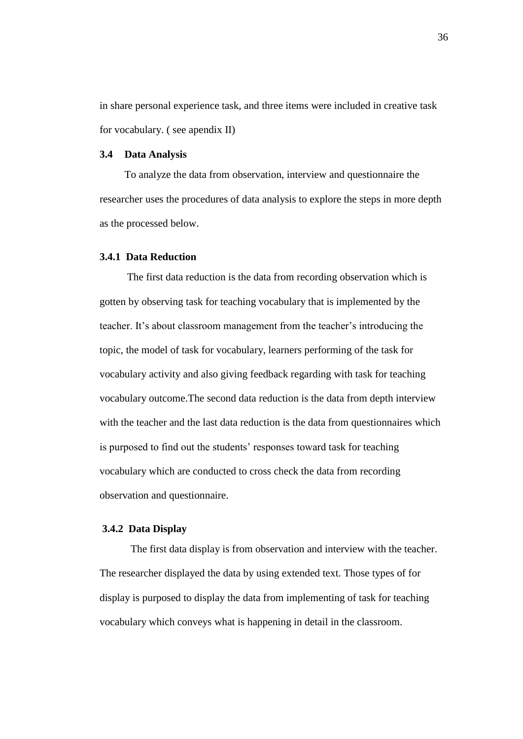in share personal experience task, and three items were included in creative task for vocabulary. ( see apendix II)

#### **3.4 Data Analysis**

To analyze the data from observation, interview and questionnaire the researcher uses the procedures of data analysis to explore the steps in more depth as the processed below.

#### **3.4.1 Data Reduction**

The first data reduction is the data from recording observation which is gotten by observing task for teaching vocabulary that is implemented by the teacher. It's about classroom management from the teacher's introducing the topic, the model of task for vocabulary, learners performing of the task for vocabulary activity and also giving feedback regarding with task for teaching vocabulary outcome.The second data reduction is the data from depth interview with the teacher and the last data reduction is the data from questionnaires which is purposed to find out the students' responses toward task for teaching vocabulary which are conducted to cross check the data from recording observation and questionnaire.

#### **3.4.2 Data Display**

The first data display is from observation and interview with the teacher. The researcher displayed the data by using extended text. Those types of for display is purposed to display the data from implementing of task for teaching vocabulary which conveys what is happening in detail in the classroom.

36